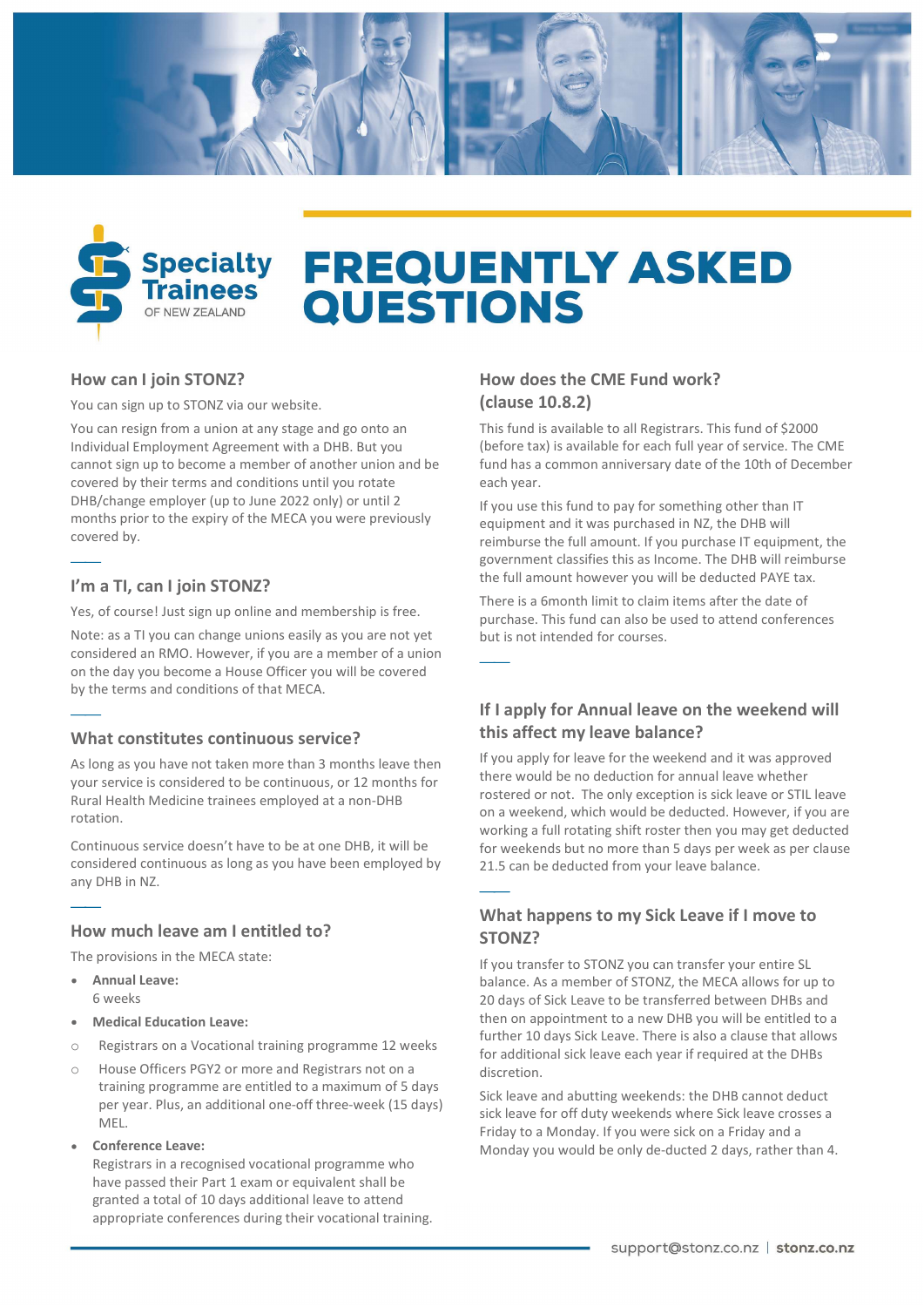



# **FREQUENTLY ASKED QUESTIONS**

 $\overbrace{\hspace{27mm}}$ 

 $\frac{1}{1}$ 

### How can I join STONZ?

You can sign up to STONZ via our website.

months prior to the expiry of the MECA you were previously You can resign from a union at any stage and go onto an Individual Employment Agreement with a DHB. But you cannot sign up to become a member of another union and be covered by their terms and conditions until you rotate DHB/change employer (up to June 2022 only) or until 2 covered by.

# I'm a TI, can I join STONZ?

 $\overline{\phantom{iiiiiiiiiii}}$ 

 $\overline{\phantom{0}}$ 

 $\overbrace{\hspace{27mm}}$ 

Yes, of course! Just sign up online and membership is free.

Note: as a TI you can change unions easily as you are not yet considered an RMO. However, if you are a member of a union on the day you become a House Officer you will be covered by the terms and conditions of that MECA.

### What constitutes continuous service?

As long as you have not taken more than 3 months leave then your service is considered to be continuous, or 12 months for Rural Health Medicine trainees employed at a non-DHB rotation.

Continuous service doesn't have to be at one DHB, it will be considered continuous as long as you have been employed by any DHB in NZ.

# How much leave am I entitled to?

The provisions in the MECA state:

- Annual Leave: 6 weeks
- Medical Education Leave:
- o Registrars on a Vocational training programme 12 weeks
- o House Officers PGY2 or more and Registrars not on a training programme are entitled to a maximum of 5 days per year. Plus, an additional one-off three-week (15 days) MEL.
- Conference Leave:

Registrars in a recognised vocational programme who have passed their Part 1 exam or equivalent shall be granted a total of 10 days additional leave to attend appropriate conferences during their vocational training.

### How does the CME Fund work? (clause 10.8.2)

This fund is available to all Registrars. This fund of \$2000 (before tax) is available for each full year of service. The CME fund has a common anniversary date of the 10th of December each year.

If you use this fund to pay for something other than IT equipment and it was purchased in NZ, the DHB will reimburse the full amount. If you purchase IT equipment, the government classifies this as Income. The DHB will reimburse the full amount however you will be deducted PAYE tax.

There is a 6month limit to claim items after the date of purchase. This fund can also be used to attend conferences but is not intended for courses.

# If I apply for Annual leave on the weekend will this affect my leave balance?

If you apply for leave for the weekend and it was approved there would be no deduction for annual leave whether rostered or not. The only exception is sick leave or STIL leave on a weekend, which would be deducted. However, if you are working a full rotating shift roster then you may get deducted for weekends but no more than 5 days per week as per clause 21.5 can be deducted from your leave balance.

# What happens to my Sick Leave if I move to STONZ?

If you transfer to STONZ you can transfer your entire SL balance. As a member of STONZ, the MECA allows for up to 20 days of Sick Leave to be transferred between DHBs and then on appointment to a new DHB you will be entitled to a further 10 days Sick Leave. There is also a clause that allows for additional sick leave each year if required at the DHBs discretion.

Sick leave and abutting weekends: the DHB cannot deduct sick leave for off duty weekends where Sick leave crosses a Friday to a Monday. If you were sick on a Friday and a Monday you would be only de-ducted 2 days, rather than 4.